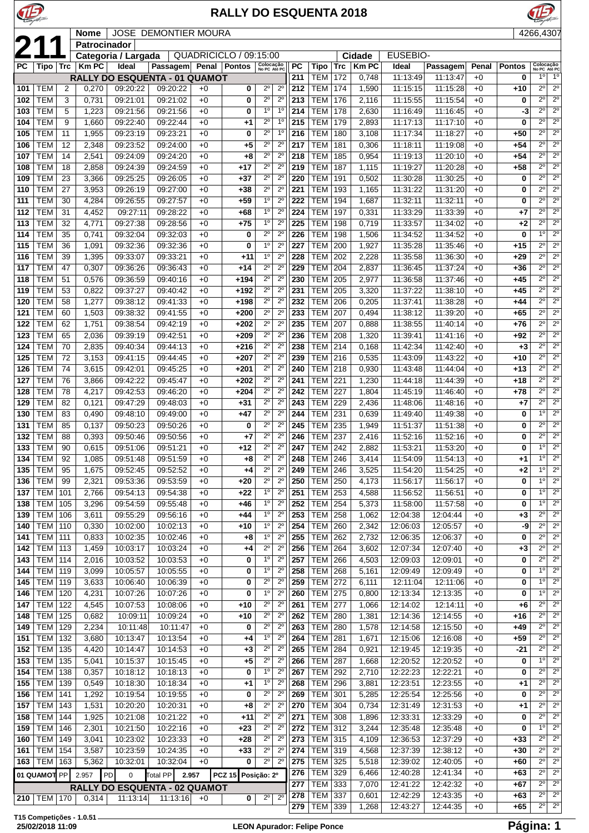

## **RALLY DO ESQUENTA 2018**



 **Nome** JOSE DEMONTIER MOURA 4266,4307<br> **211 Patrocinador**<br> **2211 Cidade** EUSEBIO-<br> **2211 Cidade** EUSEBIO-<br> **2211 Cidade** EUSEBIO-**Patrocinador Categoria / Largada** QUADRICICLO / 09:15:00 **Cidade** EUSEBIO-<br>Km PC | Ideal Passagem Penal Pontos | Reficiale PC | Tipo | Trc | Km PC | Ideal | F **Passagem Penal Pontos No PC Tipo Trc Km PC Ideal Passagem Penal Pontos No PC Até PC RALLY DO ESQUENTA - 01 QUAMOT** TEM 2 0,270 09:20:22 09:20:22 +0 **0** 2º 2º TEM 3 0,731 09:21:01 09:21:02 +0 **0** 2º 2º TEM 5 1,223 09:21:56 09:21:56 +0 **0** 1º 1º TEM 9 1,660 09:22:40 09:22:44 +0 **+1** 2º 1º TEM 11 1,955 09:23:19 09:23:21 +0 **0** 2º 1º TEM 12 2,348 09:23:52 09:24:00 +0 **+5** 2º 2º TEM 14 2,541 09:24:09 09:24:20 +0 **+8** 2º 2º TEM 18 2,858 09:24:39 09:24:59 +0 **+17** 2º 2º TEM 23 3,366 09:25:25 09:26:05 +0 **+37** 2º 2º TEM 27 3,953 09:26:19 09:27:00 +0 **+38** 2º 2º TEM 30 4,284 09:26:55 09:27:57 +0 **+59** 1º 2º TEM 31 4,452 09:27:11 09:28:22 +0 **+68** 1º 2º TEM 32 4,771 09:27:38 09:28:56 +0 **+75** 1º 2º TEM 35 0,741 09:32:04 09:32:03 +0 **0** 2º 2º TEM 36 1,091 09:32:36 09:32:36 +0 **0** 1º 2º TEM 39 1,395 09:33:07 09:33:21 +0 **+11** 1º 2º TEM 47 0,307 09:36:26 09:36:43 +0 **+14** 2º 2º TEM 51 0,576 09:36:59 09:40:16 +0 **+194** 2º 2º TEM 53 0,822 09:37:27 09:40:42 +0 **+192** 2º 2º TEM 58 1,277 09:38:12 09:41:33 +0 **+198** 2º 2º TEM 60 1,503 09:38:32 09:41:55 +0 **+200** 2º 2º TEM 62 1,751 09:38:54 09:42:19 +0 **+202** 2º 2º TEM 65 2,036 09:39:19 09:42:51 +0 **+209** 2º 2º TEM 70 2,835 09:40:34 09:44:13 +0 **+216** 2º 2º TEM 72 3,153 09:41:15 09:44:45 +0 **+207** 2º 2º TEM 74 3,615 09:42:01 09:45:25 +0 **+201** 2º 2º TEM 76 3,866 09:42:22 09:45:47 +0 **+202** 2º 2º TEM 78 4,217 09:42:53 09:46:20 +0 **+204** 2º 2º TEM 82 0,121 09:47:29 09:48:03 +0 **+31** 2º 2º TEM 83 0,490 09:48:10 09:49:00 +0 **+47** 2º 2º TEM 85 0,137 09:50:23 09:50:26 +0 **0** 2º 2º TEM 88 0,393 09:50:46 09:50:56 +0 **+7** 2º 2º TEM 90 0,615 09:51:06 09:51:21 +0 **+12** 2º 2º TEM 92 1,085 09:51:48 09:51:59 +0 **+8** 2º 2º TEM 95 1,675 09:52:45 09:52:52 +0 **+4** 2º 2º TEM 99 2,321 09:53:36 09:53:59 +0 **+20** 2º 2º TEM 101 2,766 09:54:13 09:54:38 +0 **+22** 1º 2º TEM 105 3,296 09:54:59 09:55:48 +0 **+46** 1º 2º TEM 106 3,611 09:55:29 09:56:16 +0 **+44** 1º 2º TEM 110 0,330 10:02:00 10:02:13 +0 **+10** 1º 2º TEM 111 0,833 10:02:35 10:02:46 +0 **+8** 1º 2º TEM 113 1,459 10:03:17 10:03:24 +0 **+4** 2º 2º TEM 114 2,016 10:03:52 10:03:53 +0 **0** 1º 2º TEM 119 3,099 10:05:57 10:05:55 +0 **0** 1º 2º TEM 119 3,633 10:06:40 10:06:39 +0 **0** 2º 2º TEM 120 4,231 10:07:26 10:07:26 +0 **0** 1º 2º TEM 122 4,545 10:07:53 10:08:06 +0 **+10** 2º 2º TEM 125 0,682 10:09:11 10:09:24 +0 **+10** 2º 2º TEM 129 2,234 10:11:48 10:11:47 +0 **0** 2º 2º TEM 132 3,680 10:13:47 10:13:54 +0 **+4** 1º 2º TEM 135 4,420 10:14:47 10:14:53 +0 **+3** 2º 2º TEM 135 5,041 10:15:37 10:15:45 +0 **+5** 2º 2º TEM 138 0,357 10:18:12 10:18:13 +0 **0** 1º 2º TEM 139 0,549 10:18:30 10:18:34 +0 **+1** 1º 2º TEM 141 1,292 10:19:54 10:19:55 +0 **0** 2º 2º TEM 143 1,531 10:20:20 10:20:31 +0 **+8** 2º 2º TEM 144 1,925 10:21:08 10:21:22 +0 **+11** 2º 2º TEM 146 2,301 10:21:50 10:22:16 +0 **+23** 2º 2º TEM 149 3,041 10:23:02 10:23:33 +0 **+28** 2º 2º TEM 154 3,587 10:23:59 10:24:35 +0 **+33** 2º 2º TEM 163 5,362 10:32:01 10:32:04 +0 **0** 2º 2º **01 QUAMOT** PP 2.957 PD 0 Total PP **2.957 PCZ 15 Posição: 2º RALLY DO ESQUENTA - 02 QUAMOT** TEM 170 0,314 11:13:14 11:13:16 +0 **0** 2º 2º TEM 172 0,748 11:13:49 11:13:47 +0 **0** 1º 1º TEM 174 1,590 11:15:15 11:15:28 +0 **+10** 2º 2º TEM 176 2,116 11:15:55 11:15:54 +0 **0** 2º 2º TEM 178 2,630 11:16:49 11:16:45 +0 **-3** 2º 2º TEM 179 2,893 11:17:13 11:17:10 +0 **0** 2º 2º TEM 180 3,108 11:17:34 11:18:27 +0 +50  $2^0$  2 TEM 181 0,306 11:18:11 11:19:08 +0 **+54** 2º 2º TEM 185 0,954 11:19:13 11:20:10 +0 **+54** 2º 2º TEM 187 1,115 11:19:27 11:20:28 +0 **+58** 2º 2º TEM 191 0,502 11:30:28 11:30:25 +0 **0** 2º 2º TEM 193 1,165 11:31:22 11:31:20 +0 **0** 2º 2º TEM 194 1,687 11:32:11 11:32:11 +0 **0** 2º 2º TEM 197 0,331 11:33:29 11:33:39 +0 **+7** 2º 2º TEM 198 0,719 11:33:57 11:34:02 +0 **+2** 2º 2º TEM 198 1,506 11:34:52 11:34:52 +0 **0** 1º 2º TEM 200 1,927 11:35:28 11:35:46 +0 **+15** 2º 2º TEM 202 2,228 11:35:58 11:36:30 +0 **+29** 2º 2º TEM 204 2,837 11:36:45 11:37:24 +0 **+36** 2º 2º TEM 205 2,977 11:36:58 11:37:46 +0 **+45** 2º 2º TEM 205 3,320 11:37:22 11:38:10 +0 **+45** 2º 2º TEM 206 0,205 11:37:41 11:38:28 +0 **+44** 2º 2º TEM 207 0,494 11:38:12 11:39:20 +0 **+65** 2º 2º TEM 207 0,888 11:38:55 11:40:14 +0 **+76** 2º 2º TEM 208 1,320 11:39:41 11:41:16 +0 **+92** 2º 2º TEM 214 0,168 11:42:34 11:42:40 +0 **+3** 2º 2º TEM 216 0,535 11:43:09 11:43:22 +0 **+10** 2º 2º TEM 218 0,930 11:43:48 11:44:04 +0 **+13** 2º 2º TEM 221 1,230 11:44:18 11:44:39 +0 **+18** 2º 2º TEM 227 1,804 11:45:19 11:46:40 +0 **+78** 2º 2º TEM 229 2,436 11:48:06 11:48:16 +0 **+7** 2º 2º TEM 231 0,639 11:49:40 11:49:38 +0 **0** 1º 2º TEM 235 1,949 11:51:37 11:51:38 +0 **0** 2º 2º TEM 237 2,416 11:52:16 11:52:16 +0 **0** 2º 2º TEM 242 2,882 11:53:21 11:53:20 +0 **0** 1º 2º TEM 246 3,414 11:54:09 11:54:13 +0 **+1** 1º 2º TEM 246 3,525 11:54:20 11:54:25 +0 **+2** 1º 2º TEM 250 4,173 11:56:17 11:56:17 +0 **0** 1º 2º TEM 253 4,588 11:56:52 11:56:51 +0 **0** 1º 2º TEM 254 5,373 11:58:00 11:57:58 +0 **0** 1º 2º TEM 258 1,062 12:04:38 12:04:44 +0 **+3** 2º 2º TEM 260 2,342 12:06:03 12:05:57 +0 **-9** 2º 2º TEM 262 2,732 12:06:35 12:06:37 +0 **0** 2º 2º TEM 264 3,602 12:07:34 12:07:40 +0 **+3** 2º 2º TEM 266 4,503 12:09:03 12:09:01 +0 **0** 2º 2º TEM 268 5,161 12:09:49 12:09:49 +0 **0** 1º 2º TEM 272 6,111 12:11:04 12:11:06 +0 **0** 1º 2º TEM 275 0,800 12:13:34 12:13:35 +0 **0** 1º 2º TEM 277 1,066 12:14:02 12:14:11 +0 **+6** 2º 2º TEM 280 1,381 12:14:36 12:14:55 +0 **+16** 2º 2º TEM 280 1,578 12:14:58 12:15:50 +0 **+49** 2º 2º TEM 281 1,671 12:15:06 12:16:08 +0 **+59** 2º 2º TEM 284 0,921 12:19:45 12:19:35 +0 **-21** 2º 2º TEM 287 1,668 12:20:52 12:20:52 +0 **0** 1º 2º TEM 292 2,710 12:22:23 12:22:21 +0 **0** 2<sup>°</sup> 2<sup>°</sup> TEM 296 3,881 12:23:51 12:23:55 +0 **+1** 2º 2º TEM 301 5,285 12:25:54 12:25:56 +0 **0** 2º 2º TEM 304 0,734 12:31:49 12:31:53 +0 **+1** 2º 2º TEM 308 1,896 12:33:31 12:33:29 +0 **0** 2º 2º TEM 312 3,244 12:35:48 12:35:48 +0 **0** 1º 2º TEM 315 4,109 12:36:53 12:37:29 +0 **+33** 2º 2º TEM 319 4,568 12:37:39 12:38:12 +0 **+30** 2º 2º TEM 325 5,518 12:39:02 12:40:05 +0 **+60** 2º 2º TEM 329 6,466 12:40:28 12:41:34 +0 **+63** 2º 2º TEM 333 7,070 12:41:22 12:42:32 +0 **+67** 2º 2º TEM 337 0,601 12:42:29 12:43:35 +0 **+63** 2º 2º TEM 339 1,268 12:43:27 12:44:35 +0 **+65** 2º 2º

**T15 Competições - 1.0.51**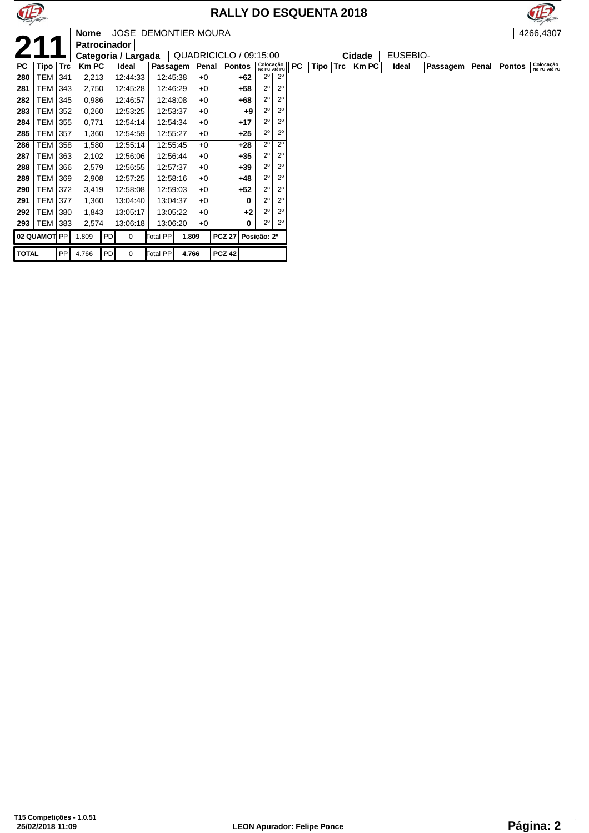

## **RALLY DO ESQUENTA 2018**



|              |                |            | <b>Nome</b>  |          | <b>JOSE DEMONTIER MOURA</b> |                 |       |       |                        |                  |                           |           |      |     |              |                 |                 |       |               | 4266,4307                 |
|--------------|----------------|------------|--------------|----------|-----------------------------|-----------------|-------|-------|------------------------|------------------|---------------------------|-----------|------|-----|--------------|-----------------|-----------------|-------|---------------|---------------------------|
| 2            |                |            | Patrocinador |          |                             |                 |       |       |                        |                  |                           |           |      |     |              |                 |                 |       |               |                           |
|              |                |            |              |          | Categoria / Largada         |                 |       |       | QUADRICICLO / 09:15:00 |                  |                           |           |      |     | Cidade       | <b>EUSEBIO-</b> |                 |       |               |                           |
| PC           | Tipo           | <b>Trc</b> | <b>Km PC</b> |          | Ideal                       | <b>Passagem</b> |       | Penal | <b>Pontos</b>          |                  | Colocação<br>No PC Até PC | <b>PC</b> | Tipo | Trc | <b>Km PC</b> | Ideal           | <b>Passagem</b> | Penal | <b>Pontos</b> | Colocação<br>No PC Até PC |
| 280          | TEM            | 341        | 2,213        |          | 12:44:33                    | 12:45:38        |       | $+0$  | +62                    | $2^{\circ}$      | $2^{\circ}$               |           |      |     |              |                 |                 |       |               |                           |
| 281          | <b>TEM</b>     | 343        | 2,750        |          | 12:45:28                    | 12:46:29        |       | $+0$  | $+58$                  | $2^{\circ}$      | $2^{\circ}$               |           |      |     |              |                 |                 |       |               |                           |
| 282          | <b>TEM</b>     | 345        | 0,986        |          | 12:46:57                    | 12:48:08        |       | $+0$  | +68                    | $2^{\circ}$      | $2^{\circ}$               |           |      |     |              |                 |                 |       |               |                           |
| 283          | <b>TEM</b>     | 352        | 0,260        |          | 12:53:25                    | 12:53:37        |       | $+0$  | $+9$                   | $2^{\circ}$      | $2^{\circ}$               |           |      |     |              |                 |                 |       |               |                           |
| 284          | <b>TEM</b>     | 355        | 0,771        |          | 12:54:14                    | 12:54:34        |       | $+0$  | $+17$                  | $2^{\circ}$      | $2^{\circ}$               |           |      |     |              |                 |                 |       |               |                           |
| 285          | TEM            | 357        | 1,360        |          | 12:54:59                    | 12:55:27        |       | $+0$  | $+25$                  | $2^{\circ}$      | $2^{\circ}$               |           |      |     |              |                 |                 |       |               |                           |
| 286          | <b>TEM 358</b> |            | 1,580        |          | 12:55:14                    | 12:55:45        |       | $+0$  | $+28$                  | $2^{\circ}$      | $2^{\circ}$               |           |      |     |              |                 |                 |       |               |                           |
| 287          | <b>TEM</b>     | 363        | 2,102        |          | 12:56:06                    | 12:56:44        |       | $+0$  | $+35$                  | $2^{\circ}$      | $2^{\circ}$               |           |      |     |              |                 |                 |       |               |                           |
| 288          | TEM            | 366        | 2,579        |          | 12:56:55                    | 12:57:37        |       | $+0$  | $+39$                  | $2^{\circ}$      | $2^{\circ}$               |           |      |     |              |                 |                 |       |               |                           |
| 289          | TEM 369        |            | 2,908        |          | 12:57:25                    | 12:58:16        |       | $+0$  | +48                    | $2^{\circ}$      | $2^{\circ}$               |           |      |     |              |                 |                 |       |               |                           |
| 290          | <b>TEM 372</b> |            | 3,419        |          | 12:58:08                    | 12:59:03        |       | $+0$  | $+52$                  | $2^{\circ}$      | $2^{\circ}$               |           |      |     |              |                 |                 |       |               |                           |
| 291          | <b>TEM 377</b> |            | 1,360        | 13:04:40 |                             | 13:04:37        |       | $+0$  |                        | $2^{\circ}$<br>0 | 2 <sup>0</sup>            |           |      |     |              |                 |                 |       |               |                           |
| 292          | <b>TEM</b>     | 380        | 1,843        |          | 13:05:17                    | 13:05:22        |       | $+0$  | $+2$                   | $2^{\circ}$      | $2^{\circ}$               |           |      |     |              |                 |                 |       |               |                           |
| 293          | <b>TEM</b>     | 383        | 2,574        |          | 13:06:18                    | 13:06:20        |       | $+0$  |                        | $2^{\circ}$<br>0 | $2^{\circ}$               |           |      |     |              |                 |                 |       |               |                           |
|              | 02 QUAMOT PP   |            | 1.809        | l PD I   | 0                           | Total PP        | 1.809 |       | <b>PCZ 27</b>          | Posição: 2º      |                           |           |      |     |              |                 |                 |       |               |                           |
| <b>TOTAL</b> |                | PP         | 4.766        | PD       | $\Omega$                    | <b>Total PP</b> | 4.766 |       | <b>PCZ 42</b>          |                  |                           |           |      |     |              |                 |                 |       |               |                           |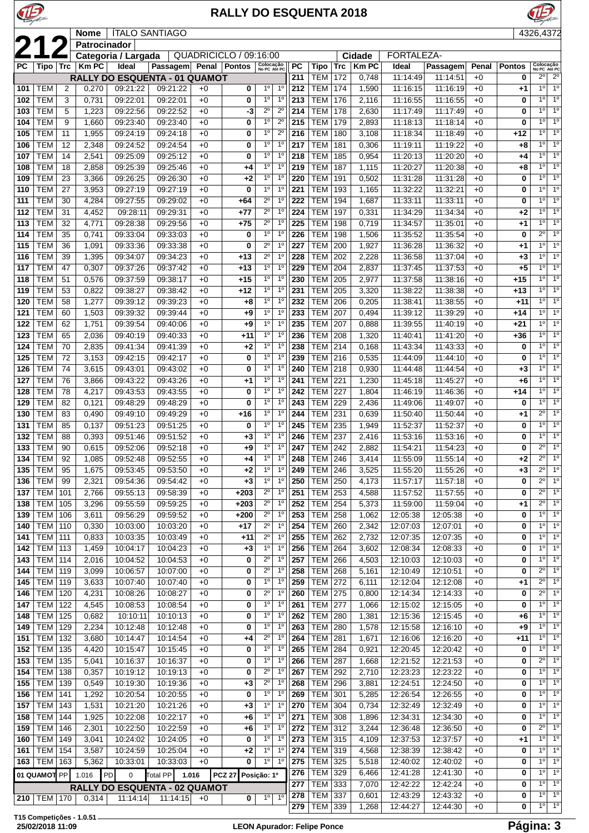

JE

## **RALLY DO ESQUENTA 2018**



|                                                                                                      |                               |                | <b>Nome</b>    |                      | <b>ITALO SANTIAGO</b>         |              |                         |                                  |                               |            |                          |                                     |                |                      |                      |              |               | 4326,4372                     |                                    |
|------------------------------------------------------------------------------------------------------|-------------------------------|----------------|----------------|----------------------|-------------------------------|--------------|-------------------------|----------------------------------|-------------------------------|------------|--------------------------|-------------------------------------|----------------|----------------------|----------------------|--------------|---------------|-------------------------------|------------------------------------|
| 21                                                                                                   |                               |                | Patrocinador   |                      |                               |              |                         |                                  |                               |            |                          |                                     |                |                      |                      |              |               |                               |                                    |
|                                                                                                      |                               |                |                | Categoria / Largada  |                               |              | QUADRICICLO / 09:16:00  |                                  |                               |            |                          |                                     | Cidade         | <b>FORTALEZA-</b>    |                      |              |               |                               |                                    |
| <b>PC</b>                                                                                            | Tipo ∣ Trc                    |                | <b>KmPC</b>    | Ideal                | Passagem                      |              | Penal   Pontos          | Colocação<br>No PC Até PC        |                               | PC         | Tipo                     | <b>Trc</b>                          | <b>Km PC</b>   | Ideal                | Passagem             | Penal        | <b>Pontos</b> | Colocação<br>No PC Até PC     |                                    |
|                                                                                                      |                               |                |                |                      | RALLY DO ESQUENTA - 01 QUAMOT |              |                         | 1 <sup>0</sup>                   |                               | 211        | <b>TEM</b>               | 172                                 | 0,748          | 11:14:49             | 11:14:51             | $+0$         | 0             | $2^{\circ}$<br>1 <sup>0</sup> | $\overline{2^0}$<br>1 <sup>0</sup> |
| 101                                                                                                  | <b>TEM</b><br><b>TEM</b>      | $\overline{2}$ | 0,270          | 09:21:22             | 09:21:22                      | $+0$         | 0                       | 1 <sup>0</sup>                   | $1^{\circ}$<br>1 <sup>0</sup> | 212<br>213 | <b>TEM</b><br><b>TEM</b> | 174<br>176                          | 1,590          | 11:16:15             | 11:16:19             | $+0$<br>$+0$ | $+1$          | 10                            | 1 <sup>0</sup>                     |
| 102                                                                                                  | <b>TEM</b>                    | 3<br>5         | 0,731          | 09:22:01             | 09:22:01                      | $+0$         | 0                       | $2^{\circ}$                      | $2^{\circ}$                   | 214        | <b>TEM</b>               |                                     | 2,116          | 11:16:55             | 11:16:55             |              | 0<br>0        | 1 <sup>0</sup>                | 1 <sup>0</sup>                     |
| 103<br>104                                                                                           | <b>TEM</b>                    | 9              | 1,223<br>1,660 | 09:22:56<br>09:23:40 | 09:22:52<br>09:23:40          | $+0$<br>$+0$ | -3<br>0                 | 1 <sup>o</sup>                   | $2^{\circ}$                   | 215        | <b>TEM</b>               | 178<br>179                          | 2,630<br>2,893 | 11:17:49<br>11:18:13 | 11:17:49<br>11:18:14 | $+0$<br>$+0$ | 0             | 10                            | $\overline{1^0}$                   |
| 105                                                                                                  | <b>TEM</b>                    | 11             | 1,955          | 09:24:19             | 09:24:18                      | $+0$         | 0                       | $1^{\circ}$                      | $2^{\circ}$                   | 216        | <b>TEM</b>               | 180                                 | 3,108          | 11:18:34             | 11:18:49             | $+0$         | +12           | 1 <sup>°</sup>                | 1 <sup>°</sup>                     |
| 106                                                                                                  | <b>TEM</b>                    | 12             | 2,348          | 09:24:52             | 09:24:54                      | $+0$         | 0                       | $1^{\circ}$                      | $1^{\circ}$                   | 217        | <b>TEM</b>               | 181                                 | 0,306          | 11:19:11             | 11:19:22             | $+0$         | +8            | 10                            | 1 <sup>0</sup>                     |
| 107                                                                                                  | <b>TEM</b>                    | 14             | 2,541          | 09:25:09             | 09:25:12                      | $+0$         | 0                       | 1 <sup>o</sup>                   | 1 <sup>0</sup>                | 218        | <b>TEM</b>               | 185                                 | 0,954          | 11:20:13             | 11:20:20             | $+0$         | +4            | 1 <sup>°</sup>                | 1 <sup>0</sup>                     |
| 108                                                                                                  | <b>TEM</b>                    | 18             | 2,858          | 09:25:39             | 09:25:46                      | $+0$         | $+4$                    | 1 <sup>0</sup>                   | 1 <sup>0</sup>                | 219        | <b>TEM</b>               | 187                                 | 1,115          | 11:20:27             | 11:20:38             | $+0$         | +8            | 1 <sup>°</sup>                | 1 <sup>o</sup>                     |
| 109                                                                                                  | <b>TEM</b>                    | 23             | 3,366          | 09:26:25             | 09:26:30                      | $+0$         | +2                      | 1 <sup>0</sup>                   | 1 <sup>0</sup>                | 220        | <b>TEM</b>               | 191                                 | 0,502          | 11:31:28             | 11:31:28             | $+0$         | 0             | 1 <sup>°</sup>                | 1 <sup>o</sup>                     |
| 110                                                                                                  | <b>TEM</b>                    | 27             | 3,953          | 09:27:19             | 09:27:19                      | $+0$         | 0                       | 1 <sup>0</sup>                   | 1 <sup>0</sup>                | 221        | <b>TEM</b>               | 193                                 | 1,165          | 11:32:22             | 11:32:21             | $+0$         | 0             | 1 <sup>0</sup>                | 1 <sup>0</sup>                     |
| 111                                                                                                  | <b>TEM</b>                    | 30             | 4,284          | 09:27:55             | 09:29:02                      | $+0$         | +64                     | $2^{\circ}$                      | 1 <sup>0</sup>                | 222        | <b>TEM</b>               | 194                                 | 1,687          | 11:33:11             | 11:33:11             | $+0$         | 0             | 10                            | 1 <sup>0</sup>                     |
| 112                                                                                                  | <b>TEM</b>                    | 31             | 4,452          | 09:28:11             | 09:29:31                      | $+0$         | $+77$                   | $\overline{2^0}$                 | $1^{\circ}$                   | 224        | <b>TEM</b>               | 197                                 | 0,331          | 11:34:29             | 11:34:34             | $+0$         | +2            | 1 <sup>0</sup>                | 1 <sup>0</sup>                     |
| 113                                                                                                  | <b>TEM</b>                    | 32             | 4,771          | 09:28:38             | 09:29:56                      | $+0$         | $+75$                   | $2^{\circ}$                      | 1 <sup>0</sup>                | 225        | <b>TEM</b>               | 198                                 | 0,719          | 11:34:57             | 11:35:01             | $+0$         | +1            | 10                            | 10                                 |
| 114                                                                                                  | <b>TEM</b>                    | 35             | 0,741          | 09:33:04             | 09:33:03                      | $+0$         | 0                       | 1 <sup>0</sup>                   | 1 <sup>0</sup>                | 226        | <b>TEM</b>               | 198                                 | 1,506          | 11:35:52             | 11:35:54             | $+0$         | 0             | $2^{\circ}$                   | 1 <sup>0</sup>                     |
| 115                                                                                                  | <b>TEM</b>                    | 36             | 1,091          | 09:33:36             | 09:33:38                      | $+0$         | 0                       | $2^{\circ}$                      | $1^{\circ}$                   | 227        | <b>TEM</b>               | 200                                 | 1,927          | 11:36:28             | 11:36:32             | $+0$         | $+1$          | 10                            | 1 <sup>0</sup>                     |
| 116                                                                                                  | <b>TEM</b>                    | 39             | 1,395          | 09:34:07             | 09:34:23                      | $+0$         | +13                     | $\overline{2^0}$                 | $1^{\circ}$                   | 228        | <b>TEM</b>               | 202                                 | 2,228          | 11:36:58             | 11:37:04             | $+0$         | $+3$          | 1 <sup>0</sup>                | 1 <sup>o</sup>                     |
| 117                                                                                                  | <b>TEM</b>                    | 47             | 0,307          | 09:37:26             | 09:37:42                      | $+0$         | $+13$                   | 1 <sup>0</sup>                   | 1 <sup>o</sup>                | 229        | <b>TEM</b>               | 204                                 | 2,837          | 11:37:45             | 11:37:53             | $+0$         | $+5$          | 1 <sup>°</sup>                | 1 <sup>0</sup>                     |
| 118                                                                                                  | <b>TEM</b>                    | 51             | 0,576          | 09:37:59             | 09:38:17                      | $+0$         | $+15$                   | 1 <sup>0</sup>                   | 1 <sup>0</sup>                | 230        | <b>TEM</b>               | 205                                 | 2,977          | 11:37:58             | 11:38:16             | $+0$         | $+15$         | 10                            | 1 <sup>o</sup>                     |
| 119                                                                                                  | <b>TEM</b>                    | 53             | 0,822          | 09:38:27             | 09:38:42                      | $+0$         | $+12$                   | 1 <sup>o</sup>                   | 1 <sup>0</sup>                | 231        | <b>TEM</b>               | 205                                 | 3,320          | 11:38:22             | 11:38:38             | $+0$         | $+13$         | 1 <sup>0</sup>                | 1 <sup>0</sup>                     |
| 120                                                                                                  | <b>TEM</b>                    | 58             | 1,277          | 09:39:12             | 09:39:23                      | $+0$         | +8                      | 1 <sup>0</sup>                   | $1^{\circ}$                   | 232        | <b>TEM</b>               | 206                                 | 0,205          | 11:38:41             | 11:38:55             | $+0$         | $+11$         | 10                            | 1 <sup>0</sup>                     |
| 121                                                                                                  | <b>TEM</b>                    | 60             | 1,503          | 09:39:32             | 09:39:44                      | $+0$         | +9                      | $1^{\circ}$                      | 1 <sup>0</sup>                | 233        | <b>TEM</b>               | 207                                 | 0,494          | 11:39:12             | 11:39:29             | $+0$         | $+14$         | 1 <sup>0</sup>                | 1 <sup>0</sup>                     |
| 122                                                                                                  | <b>TEM</b>                    | 62             | 1,751          | 09:39:54             | 09:40:06                      | $+0$         | +9                      | 1 <sup>0</sup>                   | 1 <sup>0</sup>                | 235        | <b>TEM</b>               | 207                                 | 0,888          | 11:39:55             | 11:40:19             | $+0$         | $+21$         | 10                            | 1 <sup>o</sup>                     |
| 123                                                                                                  | <b>TEM</b>                    | 65             | 2,036          | 09:40:19             | 09:40:33                      | $+0$         | $+11$                   | 1 <sup>0</sup>                   | 1 <sup>0</sup>                | 236        | <b>TEM</b>               | 208                                 | 1,320          | 11:40:41             | 11:41:20             | $+0$         | +36           | 10                            | 1 <sup>0</sup>                     |
| 124                                                                                                  | <b>TEM</b>                    | 70             | 2,835          | 09:41:34             | 09:41:39                      | $+0$         | $+2$                    | $1^{\circ}$                      | $1^{\circ}$                   | 238        | <b>TEM</b>               | 214                                 | 0,168          | 11:43:34             | 11:43:33             | $+0$         | 0             | 1 <sup>°</sup>                | 1 <sup>o</sup>                     |
| 125                                                                                                  | <b>TEM</b>                    | 72             | 3,153          | 09:42:15             | 09:42:17                      | $+0$         | 0                       | 1 <sup>o</sup>                   | $1^{\circ}$                   | 239        | <b>TEM</b>               | 216                                 | 0,535          | 11:44:09             | 11:44:10             | $+0$         | 0             | 1 <sup>0</sup>                | 1 <sup>o</sup>                     |
| 126                                                                                                  | <b>TEM</b>                    | 74             | 3,615          | 09:43:01             | 09:43:02                      | $+0$         | 0                       | 1 <sup>0</sup>                   | 1 <sup>0</sup>                | 240        | <b>TEM</b>               | 218                                 | 0,930          | 11:44:48             | 11:44:54             | $+0$         | $+3$          | 1 <sup>0</sup>                | 1 <sup>o</sup>                     |
| 127                                                                                                  | <b>TEM</b>                    | 76             | 3,866          | 09:43:22             | 09:43:26                      | $+0$         | +1                      | 1 <sup>0</sup>                   | 1 <sup>0</sup>                | 241        | <b>TEM</b>               | 221                                 | 1,230          | 11:45:18             | 11:45:27             | $+0$         | +6            | 10                            | 1 <sup>0</sup>                     |
| 128                                                                                                  | <b>TEM</b>                    | 78             | 4,217          | 09:43:53             | 09:43:55                      | $+0$         | 0                       | 1 <sup>0</sup>                   | 1 <sup>0</sup>                | 242        | TEM                      | 227                                 | 1,804          | 11:46:19             | 11:46:36             | $+0$         | +14           | 1 <sup>0</sup>                | 1 <sup>o</sup>                     |
| 129                                                                                                  | <b>TEM</b>                    | 82             | 0,121          | 09:48:29             | 09:48:29                      | $+0$         | 0                       | 1 <sup>0</sup>                   | $1^{\circ}$                   | 243        | <b>TEM</b>               | 229                                 | 2,436          | 11:49:06             | 11:49:07             | $+0$         | 0             | 10                            | 1 <sup>0</sup>                     |
| 130                                                                                                  | <b>TEM</b>                    | 83             | 0,490          | 09:49:10             | 09:49:29                      | $+0$         | $+16$                   | $\overline{1^{\circ}}$           | $1^{\circ}$                   | 244        | <b>TEM</b>               | 231                                 | 0,639          | 11:50:40             | 11:50:44             | $+0$         | +1            | $2^{\circ}$                   | 1 <sup>0</sup>                     |
| 131                                                                                                  | <b>TEM</b>                    | 85             | 0,137          | 09:51:23             | 09:51:25                      | $+0$         | 0                       | 1 <sup>0</sup>                   | 1 <sup>0</sup>                | 245        | <b>TEM</b>               | 235                                 | 1,949          | 11:52:37             | 11:52:37             | $+0$         | 0             | 10                            | 1 <sup>0</sup>                     |
| 132                                                                                                  | <b>TEM</b>                    | 88             | 0,393          | 09:51:46             | 09:51:52                      | $+0$         | +3                      | 1 <sup>o</sup>                   | 1 <sup>0</sup>                | 246        | <b>TEM</b>               | 237                                 | 2,416          | 11:53:16             | 11:53:16             | $+0$         | 0             | 1 <sup>°</sup>                | 1 <sup>0</sup>                     |
| 133                                                                                                  | <b>TEM</b>                    | 90             | 0,615          | 09:52:06             | 09:52:18                      | $+0$         | $+9$                    | 1 <sup>0</sup>                   | $1^{\circ}$                   | 247        | <b>TEM</b>               | 242                                 | 2,882          | 11:54:21             | 11:54:23             | $+0$         | 0             | $2^{\circ}$<br>$2^{\circ}$    | 1 <sup>0</sup>                     |
| 134                                                                                                  | <b>TEM</b>                    | 92             | 1,085          | 09:52:48             | 09:52:55                      | $+0$         | +4                      | 1 <sup>0</sup><br>1 <sup>0</sup> | $1^{\circ}$                   | 248        | <b>TEM</b>               | 246                                 | 3,414          | 11:55:09             | 11:55:14             | $+0$         | +2            | $2^{\circ}$                   | 1 <sup>o</sup>                     |
| 135                                                                                                  | <b>TEM</b>                    | 95             | 1,675          | 09:53:45             | 09:53:50                      | $+0$         | +2                      | $1^{\circ}$                      | $1^{\circ}$<br>$1^{\circ}$    | 249        | <b>TEM 246</b>           |                                     | 3,525          | 11:55:20             | 11:55:26             | $+0$         | $+3$          | $2^{\circ}$                   | 1 <sup>o</sup><br>1 <sup>o</sup>   |
| 136                                                                                                  | <b>TEM</b><br><b>TEM</b>      | 99             | 2,321          | 09:54:36<br>09:55:13 | 09:54:42<br>09:58:39          | $+0$         | $+3$<br>$+203$          | $2^{\circ}$                      | 1 <sup>0</sup>                | 250<br>251 | <b>TEM</b><br>TEM        | 250<br>253                          | 4,173<br>4,588 | 11:57:17<br>11:57:52 | 11:57:18<br>11:57:55 | $+0$<br>$+0$ | 0<br>0        | $2^{\circ}$                   | 1 <sup>o</sup>                     |
| 137<br>138                                                                                           | <b>TEM</b>                    | 101<br>105     | 2,766<br>3,296 | 09:55:59             | 09:59:25                      | $+0$<br>$+0$ | $+203$                  | $2^{\circ}$                      | $1^{\circ}$                   | 252        | TEM                      | 254                                 | 5,373          | 11:59:00             | 11:59:04             | $+0$         | $+1$          | $2^{\circ}$                   | 1 <sup>o</sup>                     |
| 139                                                                                                  | <b>TEM</b>                    | 106            | 3,611          | 09:56:29             | 09:59:52                      | $+0$         | $+200$                  | $2^{\circ}$                      | $1^{\circ}$                   | 253        | <b>TEM</b>               | 258                                 | 1,062          | 12:05:38             | 12:05:38             | $+0$         | 0             | 1 <sup>0</sup>                | 1 <sup>0</sup>                     |
| 140                                                                                                  | <b>TEM</b>                    | 110            | 0,330          | 10:03:00             | 10:03:20                      | $+0$         | $+17$                   | $2^{\circ}$                      | $1^{\circ}$                   | 254        | TEM                      | 260                                 | 2,342          | 12:07:03             | 12:07:01             | $+0$         | 0             | 10                            | 1 <sup>o</sup>                     |
| 141                                                                                                  | <b>TEM</b>                    | 111            | 0,833          | 10:03:35             | 10:03:49                      | $+0$         | $+11$                   | $\overline{2^0}$                 | 1 <sup>0</sup>                | 255        | TEM                      | 262                                 | 2,732          | 12:07:35             | 12:07:35             | $+0$         | 0             | 10                            | 1 <sup>o</sup>                     |
| 142                                                                                                  | <b>TEM</b>                    | 113            | 1,459          | 10:04:17             | 10:04:23                      | $+0$         | $+3$                    | $1^{\circ}$                      | 1 <sup>0</sup>                | 256        | <b>TEM</b>               | 264                                 | 3,602          | 12:08:34             | 12:08:33             | $+0$         | 0             | 10                            | 1 <sup>0</sup>                     |
| 143                                                                                                  | <b>TEM</b>                    | 114            | 2,016          | 10:04:52             | 10:04:53                      | $+0$         | 0                       | $2^{\circ}$                      | $1^{\circ}$                   | 257        | <b>TEM</b>               | 266                                 | 4,503          | 12:10:03             | 12:10:03             | $+0$         | 0             | 1 <sup>0</sup>                | 1 <sup>o</sup>                     |
| 144                                                                                                  | <b>TEM</b>                    | 119            | 3,099          | 10:06:57             | 10:07:00                      | $+0$         | 0                       | $2^{\circ}$                      | 1 <sup>0</sup>                | 258        | TEM                      | 268                                 | 5,161          | 12:10:49             | 12:10:51             | $+0$         | 0             | $2^{\circ}$                   | 1 <sup>o</sup>                     |
| 145                                                                                                  | <b>TEM</b>                    | 119            | 3,633          | 10:07:40             | 10:07:40                      | $+0$         | 0                       | $1^{\circ}$                      | 1 <sup>o</sup>                | 259        | TEM                      | 272                                 | 6,111          | 12:12:04             | 12:12:08             | $+0$         | +1            | $2^{\circ}$                   | 1 <sup>o</sup>                     |
| 146                                                                                                  | <b>TEM</b>                    | 120            | 4,231          | 10:08:26             | 10:08:27                      | $+0$         | 0                       | $2^{\circ}$                      | 1 <sup>0</sup>                | 260        | TEM                      | 275                                 | 0,800          | 12:14:34             | 12:14:33             | $+0$         | 0             | $2^{\circ}$                   | 1 <sup>o</sup>                     |
| 147                                                                                                  | <b>TEM</b>                    | 122            | 4,545          | 10:08:53             | 10:08:54                      | $+0$         | 0                       | 1 <sup>0</sup>                   | 1 <sup>0</sup>                | 261        | TEM                      | 277                                 | 1,066          | 12:15:02             | 12:15:05             | $+0$         | 0             | 1 <sup>0</sup>                | $1^{\circ}$                        |
| 148                                                                                                  | <b>TEM</b>                    | 125            | 0,682          | 10:10:11             | 10:10:13                      | $+0$         | 0                       | $1^{\circ}$                      | $1^{\circ}$                   | 262        | TEM                      | 280                                 | 1,381          | 12:15:36             | 12:15:45             | $+0$         | $+6$          | 1 <sup>0</sup>                | $1^{\circ}$                        |
| 149                                                                                                  | <b>TEM</b>                    | 129            | 2,234          | 10:12:48             | 10:12:48                      | $+0$         | 0                       | $1^{\circ}$                      | $1^{\circ}$                   | 263        | TEM                      | 280                                 | 1,578          | 12:15:58             | 12:16:10             | $+0$         | $+9$          | 10                            | $1^{\circ}$                        |
| 151                                                                                                  | <b>TEM</b>                    | 132            | 3,680          | 10:14:47             | 10:14:54                      | $+0$         | +4                      | $\overline{2^{\circ}}$           | 1 <sup>0</sup>                | 264        | TEM                      | 281                                 | 1,671          | 12:16:06             | 12:16:20             | $+0$         | $+11$         | 10                            | 1 <sup>o</sup>                     |
| 152                                                                                                  | <b>TEM</b>                    | 135            | 4,420          | 10:15:47             | 10:15:45                      | $+0$         | 0                       | $1^{\circ}$                      | 1 <sup>0</sup>                | 265        | <b>TEM</b>               | 284                                 | 0,921          | 12:20:45             | 12:20:42             | $+0$         | 0             | $1^{\circ}$                   | $1^{\circ}$                        |
| 153                                                                                                  | <b>TEM</b>                    | 135            | 5,041          | 10:16:37             | 10:16:37                      | $+0$         | 0                       | 1 <sup>0</sup>                   | 1 <sup>0</sup>                | 266        | TEM                      | 287                                 | 1,668          | 12:21:52             | 12:21:53             | $+0$         | 0             | $2^{\circ}$                   | 1 <sup>o</sup>                     |
| 154                                                                                                  | <b>TEM</b>                    | 138            | 0,357          | 10:19:12             | 10:19:13                      | $+0$         | 0                       | $2^{\circ}$                      | 1 <sup>0</sup>                | 267        | TEM                      | 292                                 | 2,710          | 12:23:23             | 12:23:22             | $+0$         | 0             | 1 <sup>°</sup>                | 1 <sup>o</sup>                     |
| 155                                                                                                  | <b>TEM</b>                    | 139            | 0,549          | 10:19:30             | 10:19:36                      | $+0$         | $+3$                    | $\overline{2^{\circ}}$           | 1 <sup>0</sup>                | 268        | TEM                      | 296                                 | 3,881          | 12:24:51             | 12:24:50             | $+0$         | 0             | $1^{\circ}$                   | 1 <sup>o</sup>                     |
| 156                                                                                                  | <b>TEM</b>                    | 141            | 1,292          | 10:20:54             | 10:20:55                      | $+0$         | 0                       | $1^{\circ}$                      | 1 <sup>0</sup>                | 269        | TEM                      | 301                                 | 5,285          | 12:26:54             | 12:26:55             | $+0$         | 0             | 10                            | 1 <sup>o</sup>                     |
| 157                                                                                                  | <b>TEM</b>                    | 143            | 1,531          | 10:21:20             | 10:21:26                      | $+0$         | $+3$                    | 1 <sup>0</sup>                   | $1^{\circ}$                   | 270        | TEM                      | 304                                 | 0,734          | 12:32:49             | 12:32:49             | $+0$         | 0             | 1 <sup>°</sup>                | $1^{\circ}$                        |
| 158                                                                                                  | TEM                           | 144            | 1,925          | 10:22:08             | 10:22:17                      | $+0$         | $+6$                    | $1^{\circ}$                      | $1^{\circ}$                   | 271        | TEM                      | 308                                 | 1,896          | 12:34:31             | 12:34:30             | $+0$         | 0             | 1 <sup>0</sup>                | 1 <sup>o</sup>                     |
| 159                                                                                                  | <b>TEM</b>                    | 146            | 2,301          | 10:22:50             | 10:22:59                      | $+0$         | $+6$                    | $1^{\circ}$                      | 1 <sup>0</sup>                | 272        | TEM                      | 312                                 | 3,244          | 12:36:48             | 12:36:50             | $+0$         | 0             | $2^{\circ}$                   | $1^{\circ}$                        |
| 160                                                                                                  | <b>TEM</b>                    | 149            | 3,041          | 10:24:02             | 10:24:05                      | $+0$         | 0                       | 1 <sup>o</sup>                   | 1 <sup>0</sup>                | 273        | <b>TEM 315</b>           |                                     | 4,109          | 12:37:53             | 12:37:57             | $+0$         | $+1$          | 1 <sup>°</sup>                | 1 <sup>0</sup>                     |
| 161                                                                                                  | TEM                           | 154            | 3,587          | 10:24:59             | 10:25:04                      | $+0$         | $+2$                    | $1^{\circ}$                      | 1 <sup>0</sup>                | 274        | <b>TEM</b>               | 319                                 | 4,568          | 12:38:39             | 12:38:42             | $+0$         | 0             | 10                            | 1 <sup>o</sup>                     |
| 163                                                                                                  | TEM   163                     |                | 5,362          | 10:33:01             | 10:33:03                      | $+0$         | 0                       | $1^{\circ}$                      | $1^{\circ}$                   | 275<br>276 | <b>TEM</b><br>TEM        | 325                                 | 5,518          | 12:40:02             | 12:40:02             | $+0$         | 0             | 10                            | 1 <sup>o</sup><br>1 <sup>0</sup>   |
| 01 QUAMOT PP<br>1.016<br>PD<br>$\pmb{0}$<br><b>PCZ 27</b><br>Posição: 1º<br>Total PP<br>1.016<br>277 |                               |                |                |                      |                               |              |                         |                                  |                               |            |                          | 329                                 | 6,466          | 12:41:28             | 12:41:30             | $+0$         | 0             | $1^{\circ}$<br>1 <sup>0</sup> | 1 <sup>o</sup>                     |
|                                                                                                      | RALLY DO ESQUENTA - 02 QUAMOT |                |                |                      |                               |              |                         |                                  |                               |            |                          | <b>TEM</b><br>333<br><b>TEM 337</b> | 7,070<br>0,601 | 12:42:22<br>12:43:29 | 12:42:24<br>12:43:32 | $+0$<br>$+0$ | 0<br>0        | 10                            | 1 <sup>o</sup>                     |
|                                                                                                      | 210 TEM 170                   |                | 0,314          | 11:14:14             | 11:14:15                      | $+0$         | $\overline{\mathbf{0}}$ | 1 <sup>0</sup>                   | 1 <sup>o</sup>                | 278<br>279 | TEM 339                  |                                     | 1,268          | 12:44:27             | 12:44:30             | $+0$         | 0             | 1 <sup>°</sup>                | 1 <sup>0</sup>                     |
|                                                                                                      |                               |                |                |                      |                               |              |                         |                                  |                               |            |                          |                                     |                |                      |                      |              |               |                               |                                    |

**T15 Competições - 1.0.51**